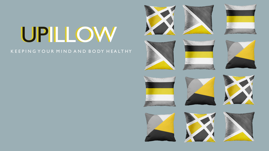# UPILLOW

#### K E E P I N G Y O U R M I N D A N D B O D Y H E A L T H Y

































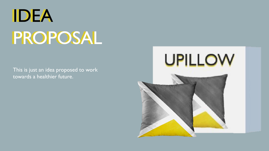# IDEA PROPOSAL

This is just an idea proposed to work towards a healthier future.

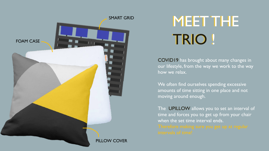

## MEET THE MEET THE TRIO ! TRIO !

COVID19 has brought about many changes in our lifestyle, from the way we work to the way how we relax.

We often find ourselves spending excessive amounts of time sitting in one place and not moving around enough.

The UPILLOW allows you to set an interval of time and forces you to get up from your chair when the set time interval ends.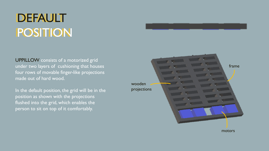## DEFAULT POSITION

UPPILLOW consists of a motorized grid under two layers of cushioning that houses four rows of movable finger-like projections made out of hard wood.

In the default position, the grid will be in the position as shown with the projections flushed into the grid, which enables the person to sit on top of it comfortably.



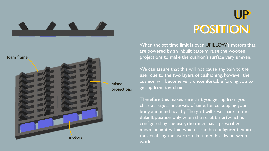



UP UP POSITION

When the set time limit is over, UPILLOW's motors that are powered by an inbuilt battery, raise the wooden projections to make the cushion's surface very uneven.

We can assure that this will not cause any pain to the user due to the two layers of cushioning, however the cushion will become very uncomfortable forcing you to get up from the chair.

Therefore this makes sure that you get up from your chair at regular intervals of time, hence keeping your body and mind healthy. The grid will reset back to the default position only when the reset timer(which is configured by the user, the timer has a prescribed min/max limit within which it can be configured) expires, thus enabling the user to take timed breaks between work.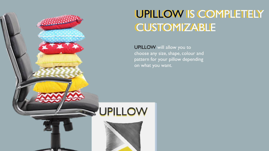

### UPILLOW IS COMPLETELY UPILLOW IS COMPLETELY **CUSTOMIZABLE**

UPILLOW will allow you to choose any size, shape, colour and pattern for your pillow depending on what you want.